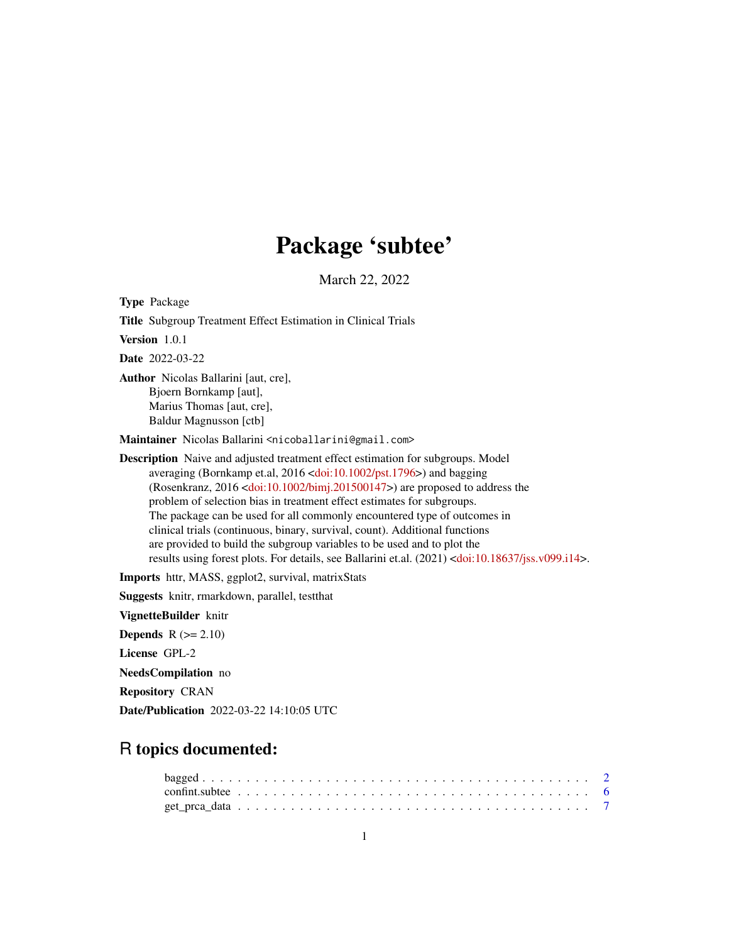# Package 'subtee'

March 22, 2022

<span id="page-0-0"></span>Type Package Title Subgroup Treatment Effect Estimation in Clinical Trials Version 1.0.1 Date 2022-03-22 Author Nicolas Ballarini [aut, cre], Bjoern Bornkamp [aut], Marius Thomas [aut, cre], Baldur Magnusson [ctb] Maintainer Nicolas Ballarini <nicoballarini@gmail.com> Description Naive and adjusted treatment effect estimation for subgroups. Model averaging (Bornkamp et.al, 2016 [<doi:10.1002/pst.1796>](https://doi.org/10.1002/pst.1796)) and bagging (Rosenkranz, 2016 [<doi:10.1002/bimj.201500147>](https://doi.org/10.1002/bimj.201500147)) are proposed to address the problem of selection bias in treatment effect estimates for subgroups. The package can be used for all commonly encountered type of outcomes in clinical trials (continuous, binary, survival, count). Additional functions are provided to build the subgroup variables to be used and to plot the results using forest plots. For details, see Ballarini et.al. (2021) [<doi:10.18637/jss.v099.i14>](https://doi.org/10.18637/jss.v099.i14). Imports httr, MASS, ggplot2, survival, matrixStats

Suggests knitr, rmarkdown, parallel, testthat

VignetteBuilder knitr

Depends  $R (= 2.10)$ 

License GPL-2

NeedsCompilation no

Repository CRAN

Date/Publication 2022-03-22 14:10:05 UTC

# R topics documented: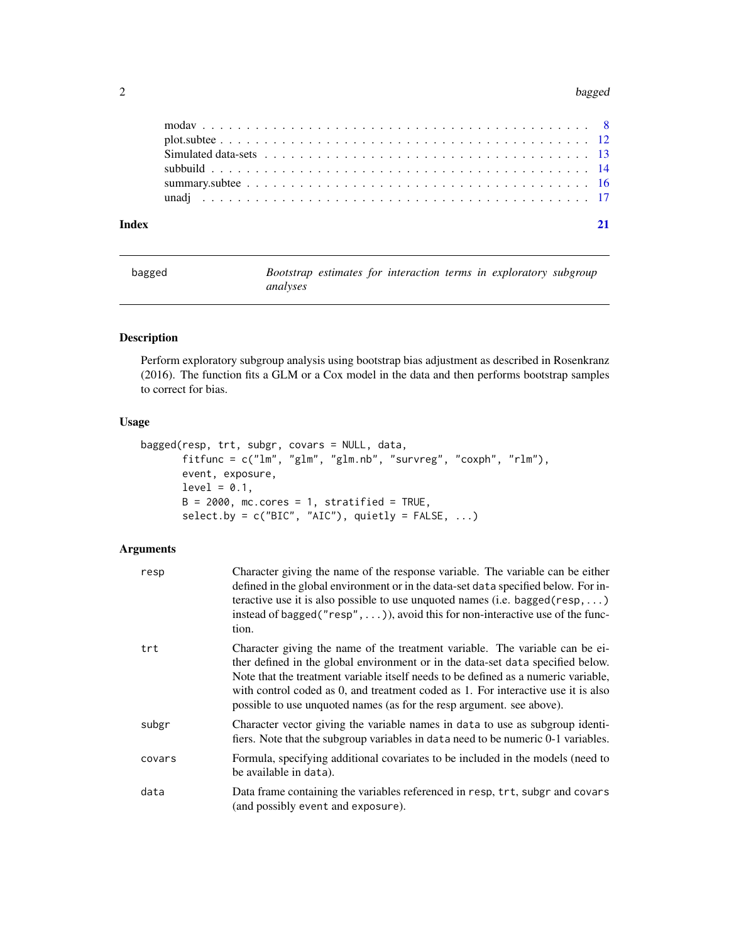#### <span id="page-1-0"></span>2 bagged

| Index |  |
|-------|--|
|       |  |
|       |  |
|       |  |
|       |  |
|       |  |
|       |  |

<span id="page-1-1"></span>bagged *Bootstrap estimates for interaction terms in exploratory subgroup analyses*

# Description

Perform exploratory subgroup analysis using bootstrap bias adjustment as described in Rosenkranz (2016). The function fits a GLM or a Cox model in the data and then performs bootstrap samples to correct for bias.

### Usage

```
bagged(resp, trt, subgr, covars = NULL, data,
       fitfunc = c("lm", "glm", "glm.nb", "survreg", "coxph", "rlm"),
      event, exposure,
      level = 0.1,
      B = 2000, mc.cores = 1, stratified = TRUE,
      select.py = c("BIC", "AIC"), quietly = FALSE, ...)
```

| resp   | Character giving the name of the response variable. The variable can be either<br>defined in the global environment or in the data-set data specified below. For in-<br>teractive use it is also possible to use unquoted names (i.e. bagged ( $resp$ , )<br>instead of bagged (" $resp$ ", )), avoid this for non-interactive use of the func-<br>tion.                                                            |
|--------|---------------------------------------------------------------------------------------------------------------------------------------------------------------------------------------------------------------------------------------------------------------------------------------------------------------------------------------------------------------------------------------------------------------------|
| trt    | Character giving the name of the treatment variable. The variable can be ei-<br>ther defined in the global environment or in the data-set data specified below.<br>Note that the treatment variable itself needs to be defined as a numeric variable,<br>with control coded as 0, and treatment coded as 1. For interactive use it is also<br>possible to use unquoted names (as for the resp argument, see above). |
| subgr  | Character vector giving the variable names in data to use as subgroup identi-<br>fiers. Note that the subgroup variables in data need to be numeric 0-1 variables.                                                                                                                                                                                                                                                  |
| covars | Formula, specifying additional covariates to be included in the models (need to<br>be available in data).                                                                                                                                                                                                                                                                                                           |
| data   | Data frame containing the variables referenced in resp, trt, subgr and covars<br>(and possibly event and exposure).                                                                                                                                                                                                                                                                                                 |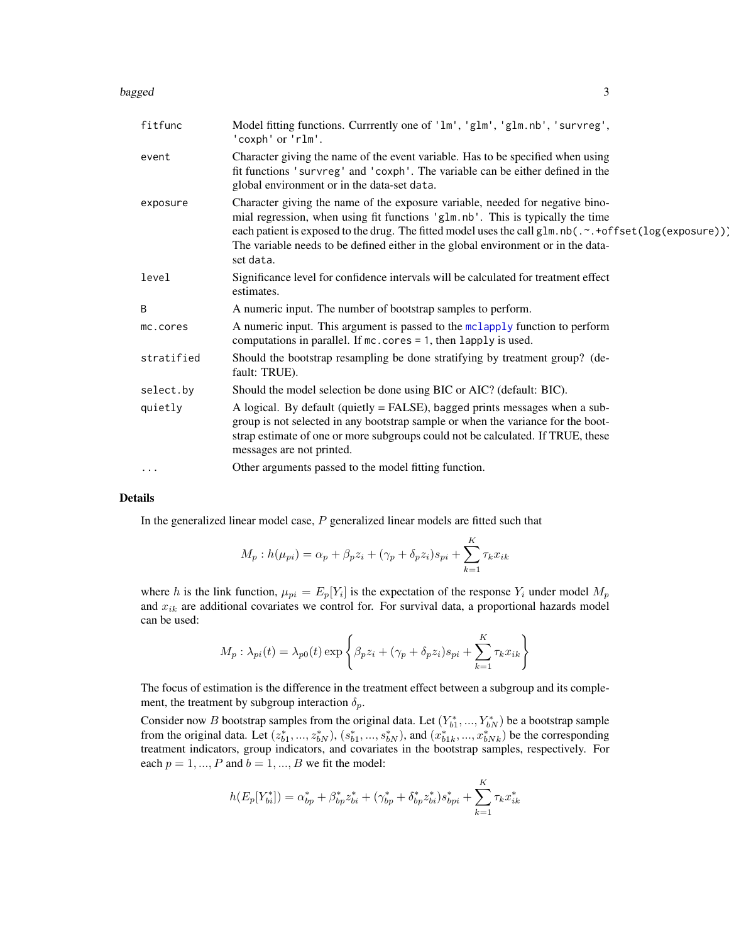#### <span id="page-2-0"></span>bagged 33 and 33 and 33 and 33 and 33 and 33 and 33 and 33 and 33 and 33 and 33 and 33 and 33 and 33 and 33 and 33 and 33 and 33 and 33 and 33 and 33 and 33 and 33 and 33 and 33 and 33 and 33 and 33 and 33 and 33 and 33 an

| fitfunc    | Model fitting functions. Currrently one of 'lm', 'glm', 'glm.nb', 'survreg',<br>'coxph' or 'rlm'.                                                                                                                                                                                                                                                                          |
|------------|----------------------------------------------------------------------------------------------------------------------------------------------------------------------------------------------------------------------------------------------------------------------------------------------------------------------------------------------------------------------------|
| event      | Character giving the name of the event variable. Has to be specified when using<br>fit functions 'survreg' and 'coxph'. The variable can be either defined in the<br>global environment or in the data-set data.                                                                                                                                                           |
| exposure   | Character giving the name of the exposure variable, needed for negative bino-<br>mial regression, when using fit functions 'glm.nb'. This is typically the time<br>each patient is exposed to the drug. The fitted model uses the call glm.nb(.~.+offset(log(exposure))]<br>The variable needs to be defined either in the global environment or in the data-<br>set data. |
| level      | Significance level for confidence intervals will be calculated for treatment effect<br>estimates.                                                                                                                                                                                                                                                                          |
| B          | A numeric input. The number of bootstrap samples to perform.                                                                                                                                                                                                                                                                                                               |
| mc.cores   | A numeric input. This argument is passed to the mclapply function to perform<br>computations in parallel. If $mc \cdot cores = 1$ , then lapply is used.                                                                                                                                                                                                                   |
| stratified | Should the bootstrap resampling be done stratifying by treatment group? (de-<br>fault: TRUE).                                                                                                                                                                                                                                                                              |
| select.by  | Should the model selection be done using BIC or AIC? (default: BIC).                                                                                                                                                                                                                                                                                                       |
| quietly    | A logical. By default (quietly = FALSE), bagged prints messages when a sub-<br>group is not selected in any bootstrap sample or when the variance for the boot-<br>strap estimate of one or more subgroups could not be calculated. If TRUE, these<br>messages are not printed.                                                                                            |
| $\cdots$   | Other arguments passed to the model fitting function.                                                                                                                                                                                                                                                                                                                      |

# Details

In the generalized linear model case,  $P$  generalized linear models are fitted such that

$$
M_p: h(\mu_{pi}) = \alpha_p + \beta_p z_i + (\gamma_p + \delta_p z_i)s_{pi} + \sum_{k=1}^K \tau_k x_{ik}
$$

where h is the link function,  $\mu_{pi} = E_p[Y_i]$  is the expectation of the response  $Y_i$  under model  $M_p$ and  $x_{ik}$  are additional covariates we control for. For survival data, a proportional hazards model can be used:

$$
M_p: \lambda_{pi}(t) = \lambda_{p0}(t) \exp\left\{\beta_p z_i + (\gamma_p + \delta_p z_i)s_{pi} + \sum_{k=1}^K \tau_k x_{ik}\right\}
$$

The focus of estimation is the difference in the treatment effect between a subgroup and its complement, the treatment by subgroup interaction  $\delta_p$ .

Consider now B bootstrap samples from the original data. Let  $(Y_{b1}^*,..., Y_{bN}^*)$  be a bootstrap sample from the original data. Let  $(z_{b1}^*,...,z_{bN}^*), (s_{b1}^*,...,s_{bN}^*),$  and  $(x_{b1k}^*,...,x_{bNk}^*)$  be the corresponding treatment indicators, group indicators, and covariates in the bootstrap samples, respectively. For each  $p = 1, ..., P$  and  $b = 1, ..., B$  we fit the model:

$$
h(E_p[Y_{bi}^*]) = \alpha_{bp}^* + \beta_{bp}^* z_{bi}^* + (\gamma_{bp}^* + \delta_{bp}^* z_{bi}^*) s_{bpi}^* + \sum_{k=1}^K \tau_k x_{ik}^*
$$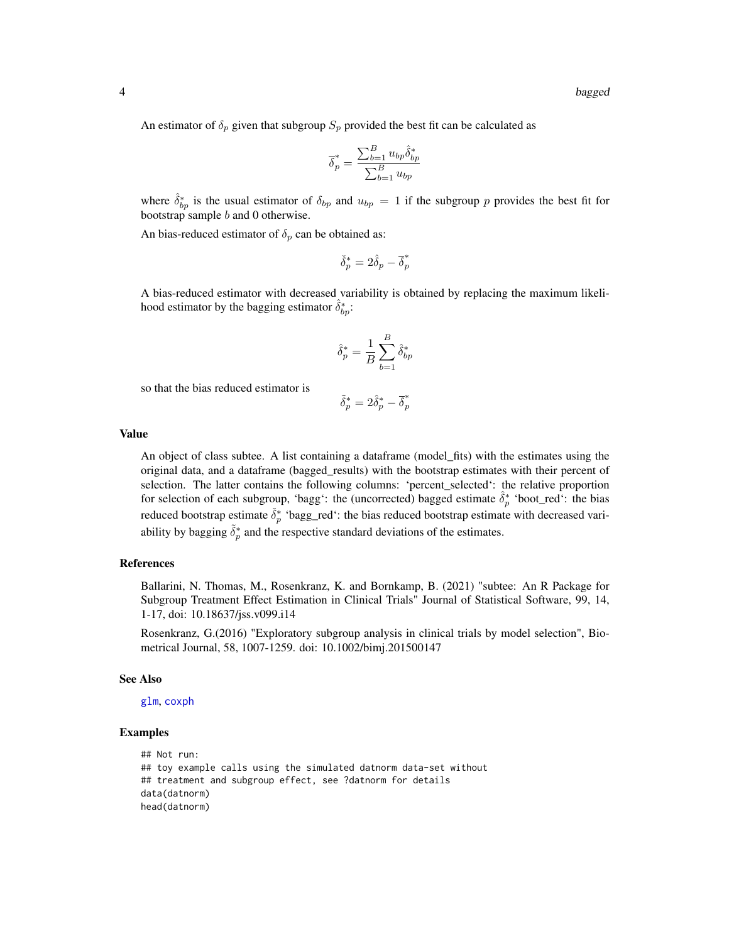<span id="page-3-0"></span>An estimator of  $\delta_p$  given that subgroup  $S_p$  provided the best fit can be calculated as

$$
\overline{\delta}_p^* = \frac{\sum_{b=1}^B u_{bp} \hat{\delta}_{bp}^*}{\sum_{b=1}^B u_{bp}}
$$

where  $\hat{\delta}_{bp}^*$  is the usual estimator of  $\delta_{bp}$  and  $u_{bp} = 1$  if the subgroup p provides the best fit for bootstrap sample b and 0 otherwise.

An bias-reduced estimator of  $\delta_p$  can be obtained as:

$$
\check{\delta}_p^* = 2\hat{\delta}_p - \overline{\delta}_p^*
$$

A bias-reduced estimator with decreased variability is obtained by replacing the maximum likelihood estimator by the bagging estimator  $\hat{\delta}_{bp}^*$ :

$$
\hat{\delta}_p^* = \frac{1}{B}\sum_{b=1}^B \hat{\delta}_{bp}^*
$$

so that the bias reduced estimator is

$$
\tilde{\delta}^*_p = 2\hat{\delta}^*_p - \overline{\delta}^*_p
$$

#### Value

An object of class subtee. A list containing a dataframe (model\_fits) with the estimates using the original data, and a dataframe (bagged\_results) with the bootstrap estimates with their percent of selection. The latter contains the following columns: 'percent\_selected': the relative proportion for selection of each subgroup, 'bagg': the (uncorrected) bagged estimate  $\hat{\delta}_p^*$  'boot\_red': the bias reduced bootstrap estimate  $\check{\delta}_p^*$  'bagg\_red': the bias reduced bootstrap estimate with decreased variability by bagging  $\tilde{\delta}_p^*$  and the respective standard deviations of the estimates.

# References

Ballarini, N. Thomas, M., Rosenkranz, K. and Bornkamp, B. (2021) "subtee: An R Package for Subgroup Treatment Effect Estimation in Clinical Trials" Journal of Statistical Software, 99, 14, 1-17, doi: 10.18637/jss.v099.i14

Rosenkranz, G.(2016) "Exploratory subgroup analysis in clinical trials by model selection", Biometrical Journal, 58, 1007-1259. doi: 10.1002/bimj.201500147

#### See Also

[glm](#page-0-0), [coxph](#page-0-0)

# Examples

```
## Not run:
## toy example calls using the simulated datnorm data-set without
## treatment and subgroup effect, see ?datnorm for details
data(datnorm)
head(datnorm)
```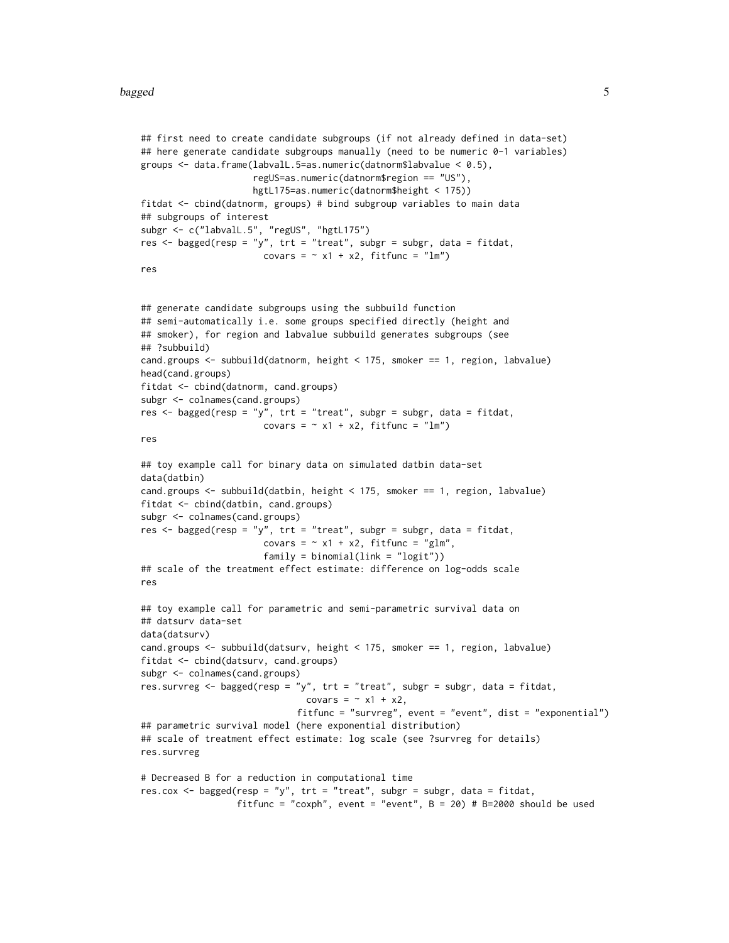#### bagged 5

```
## first need to create candidate subgroups (if not already defined in data-set)
## here generate candidate subgroups manually (need to be numeric 0-1 variables)
groups <- data.frame(labvalL.5=as.numeric(datnorm$labvalue < 0.5),
                     regUS=as.numeric(datnorm$region == "US"),
                     hgtL175=as.numeric(datnorm$height < 175))
fitdat <- cbind(datnorm, groups) # bind subgroup variables to main data
## subgroups of interest
subgr <- c("labvalL.5", "regUS", "hgtL175")
res <- bagged(resp = "y", trt = "treat", subgr = subgr, data = fitdat,
                       covars = \sim x1 + x2, fitfunc = "lm")
res
## generate candidate subgroups using the subbuild function
## semi-automatically i.e. some groups specified directly (height and
## smoker), for region and labvalue subbuild generates subgroups (see
## ?subbuild)
cand.groups <- subbuild(datnorm, height < 175, smoker == 1, region, labvalue)
head(cand.groups)
fitdat <- cbind(datnorm, cand.groups)
subgr <- colnames(cand.groups)
res <- bagged(resp = "y", trt = "treat", subgr = subgr, data = fitdat,
                       covars = \sim x1 + x2, fitfunc = "lm")
res
## toy example call for binary data on simulated datbin data-set
data(datbin)
cand.groups <- subbuild(datbin, height < 175, smoker == 1, region, labvalue)
fitdat <- cbind(datbin, cand.groups)
subgr <- colnames(cand.groups)
res <- bagged(resp = "y", trt = "treat", subgr = subgr, data = fitdat,
                       covars = \sim x1 + x2, fitfunc = "glm",
                       family = binomial(link = "logit")## scale of the treatment effect estimate: difference on log-odds scale
res
## toy example call for parametric and semi-parametric survival data on
## datsurv data-set
data(datsurv)
cand.groups <- subbuild(datsurv, height < 175, smoker == 1, region, labvalue)
fitdat <- cbind(datsurv, cand.groups)
subgr <- colnames(cand.groups)
res.survreg <- bagged(resp = "y", trt = "treat", subgr = subgr, data = fitdat,
                               covars = \sim x1 + x2,
                             fitfunc = "survreg", event = "event", dist = "exponential")
## parametric survival model (here exponential distribution)
## scale of treatment effect estimate: log scale (see ?survreg for details)
res.survreg
# Decreased B for a reduction in computational time
res.cox <- bagged(resp = "y", trt = "treat", subgr = subgr, data = fitdat,
                  fitfunc = "coxph", event = "event", B = 20) # B=2000 should be used
```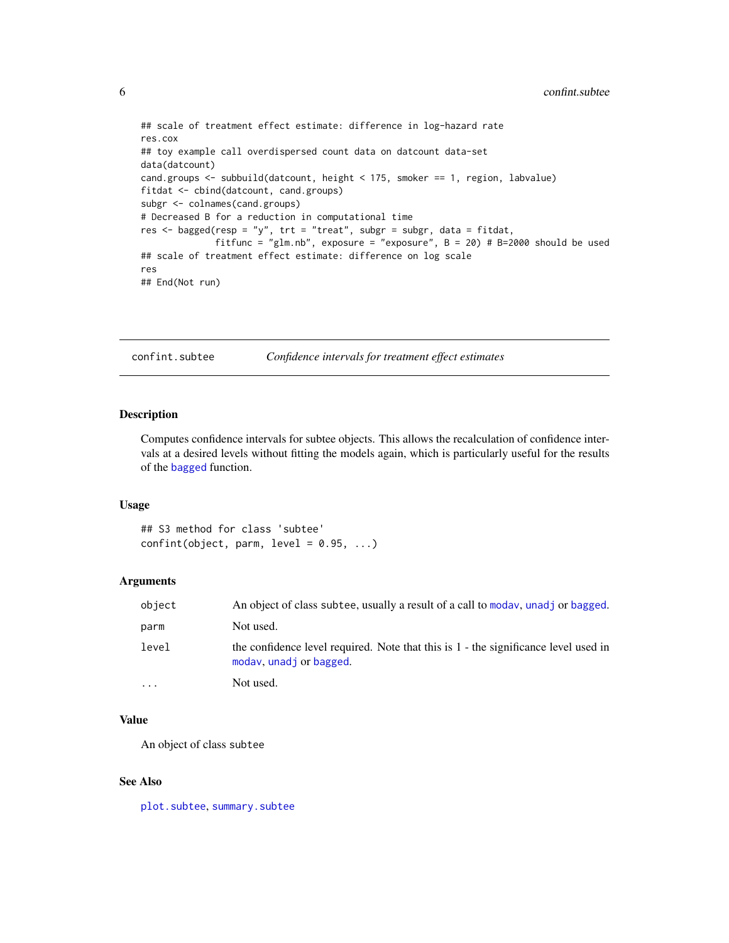```
## scale of treatment effect estimate: difference in log-hazard rate
res.cox
## toy example call overdispersed count data on datcount data-set
data(datcount)
cand.groups <- subbuild(datcount, height < 175, smoker == 1, region, labvalue)
fitdat <- cbind(datcount, cand.groups)
subgr <- colnames(cand.groups)
# Decreased B for a reduction in computational time
res <- bagged(resp = "y", trt = "treat", subgr = subgr, data = fitdat,
             fitfunc = "glm.nb", exposure = "exposure", B = 20) # B=2000 should be used
## scale of treatment effect estimate: difference on log scale
res
## End(Not run)
```
confint.subtee *Confidence intervals for treatment effect estimates*

#### Description

Computes confidence intervals for subtee objects. This allows the recalculation of confidence intervals at a desired levels without fitting the models again, which is particularly useful for the results of the [bagged](#page-1-1) function.

#### Usage

## S3 method for class 'subtee' confint(object, parm,  $level = 0.95, ...$ )

# Arguments

| object                  | An object of class subtee, usually a result of a call to moday, unadj or bagged.                               |
|-------------------------|----------------------------------------------------------------------------------------------------------------|
| parm                    | Not used.                                                                                                      |
| level                   | the confidence level required. Note that this is 1 - the significance level used in<br>moday, unadj or bagged. |
| $\cdot$ $\cdot$ $\cdot$ | Not used.                                                                                                      |

# Value

An object of class subtee

#### See Also

[plot.subtee](#page-11-1), [summary.subtee](#page-15-1)

<span id="page-5-0"></span>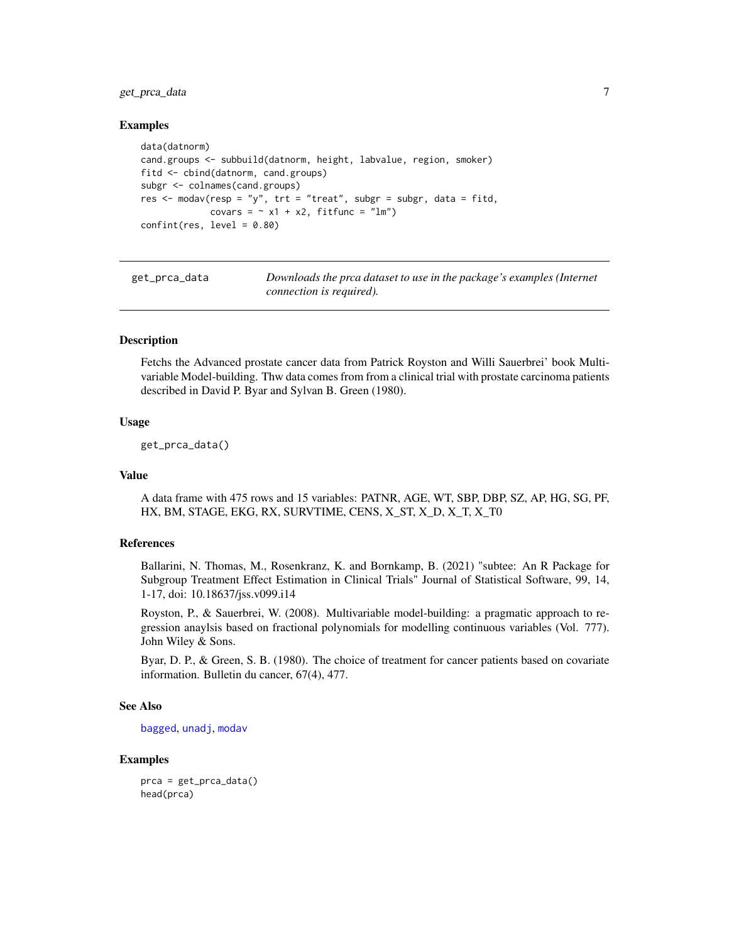# <span id="page-6-0"></span>get\_prca\_data 7

#### Examples

```
data(datnorm)
cand.groups <- subbuild(datnorm, height, labvalue, region, smoker)
fitd <- cbind(datnorm, cand.groups)
subgr <- colnames(cand.groups)
res <- modav(resp = "y", trt = "treat", subgr = subgr, data = fitd,
             covars = \sim x1 + x2, fitfunc = "lm")
confint(res, level = 0.80)
```
get\_prca\_data *Downloads the prca dataset to use in the package's examples (Internet connection is required).*

# **Description**

Fetchs the Advanced prostate cancer data from Patrick Royston and Willi Sauerbrei' book Multivariable Model-building. Thw data comes from from a clinical trial with prostate carcinoma patients described in David P. Byar and Sylvan B. Green (1980).

#### Usage

get\_prca\_data()

#### Value

A data frame with 475 rows and 15 variables: PATNR, AGE, WT, SBP, DBP, SZ, AP, HG, SG, PF, HX, BM, STAGE, EKG, RX, SURVTIME, CENS, X\_ST, X\_D, X\_T, X\_T0

### References

Ballarini, N. Thomas, M., Rosenkranz, K. and Bornkamp, B. (2021) "subtee: An R Package for Subgroup Treatment Effect Estimation in Clinical Trials" Journal of Statistical Software, 99, 14, 1-17, doi: 10.18637/jss.v099.i14

Royston, P., & Sauerbrei, W. (2008). Multivariable model-building: a pragmatic approach to regression anaylsis based on fractional polynomials for modelling continuous variables (Vol. 777). John Wiley & Sons.

Byar, D. P., & Green, S. B. (1980). The choice of treatment for cancer patients based on covariate information. Bulletin du cancer, 67(4), 477.

#### See Also

[bagged](#page-1-1), [unadj](#page-16-1), [modav](#page-7-1)

#### Examples

prca = get\_prca\_data() head(prca)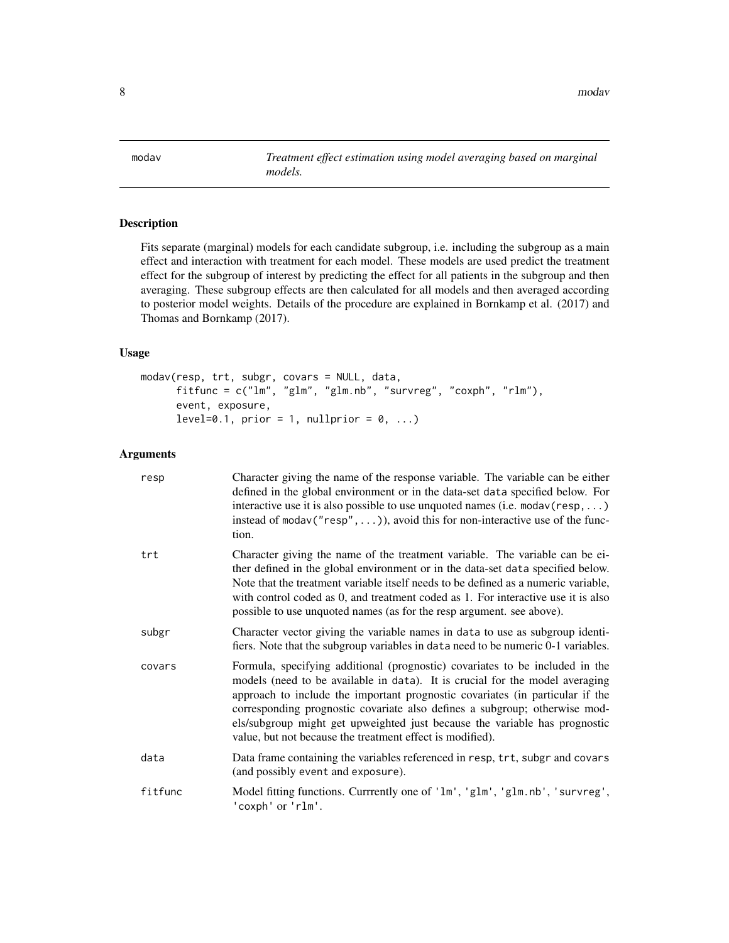<span id="page-7-1"></span><span id="page-7-0"></span>modav *Treatment effect estimation using model averaging based on marginal models.*

# Description

Fits separate (marginal) models for each candidate subgroup, i.e. including the subgroup as a main effect and interaction with treatment for each model. These models are used predict the treatment effect for the subgroup of interest by predicting the effect for all patients in the subgroup and then averaging. These subgroup effects are then calculated for all models and then averaged according to posterior model weights. Details of the procedure are explained in Bornkamp et al. (2017) and Thomas and Bornkamp (2017).

# Usage

```
modav(resp, trt, subgr, covars = NULL, data,
     fitfunc = c("lm", "glm", "glm.nb", "survreg", "coxph", "rlm"),
     event, exposure,
     level=0.1, prior = 1, nullprior = 0, ...)
```

| resp    | Character giving the name of the response variable. The variable can be either<br>defined in the global environment or in the data-set data specified below. For<br>interactive use it is also possible to use unquoted names (i.e. $\text{modav}(\text{resp}, \dots)$ )<br>instead of modav ( $"resp"$ , )), avoid this for non-interactive use of the func-<br>tion.                                                                                                 |
|---------|------------------------------------------------------------------------------------------------------------------------------------------------------------------------------------------------------------------------------------------------------------------------------------------------------------------------------------------------------------------------------------------------------------------------------------------------------------------------|
| trt     | Character giving the name of the treatment variable. The variable can be ei-<br>ther defined in the global environment or in the data-set data specified below.<br>Note that the treatment variable itself needs to be defined as a numeric variable,<br>with control coded as 0, and treatment coded as 1. For interactive use it is also<br>possible to use unquoted names (as for the resp argument. see above).                                                    |
| subgr   | Character vector giving the variable names in data to use as subgroup identi-<br>fiers. Note that the subgroup variables in data need to be numeric 0-1 variables.                                                                                                                                                                                                                                                                                                     |
| covars  | Formula, specifying additional (prognostic) covariates to be included in the<br>models (need to be available in data). It is crucial for the model averaging<br>approach to include the important prognostic covariates (in particular if the<br>corresponding prognostic covariate also defines a subgroup; otherwise mod-<br>els/subgroup might get upweighted just because the variable has prognostic<br>value, but not because the treatment effect is modified). |
| data    | Data frame containing the variables referenced in resp, trt, subgr and covars<br>(and possibly event and exposure).                                                                                                                                                                                                                                                                                                                                                    |
| fitfunc | Model fitting functions. Currrently one of 'lm', 'glm', 'glm.nb', 'survreg',<br>'coxph' or 'rlm'.                                                                                                                                                                                                                                                                                                                                                                      |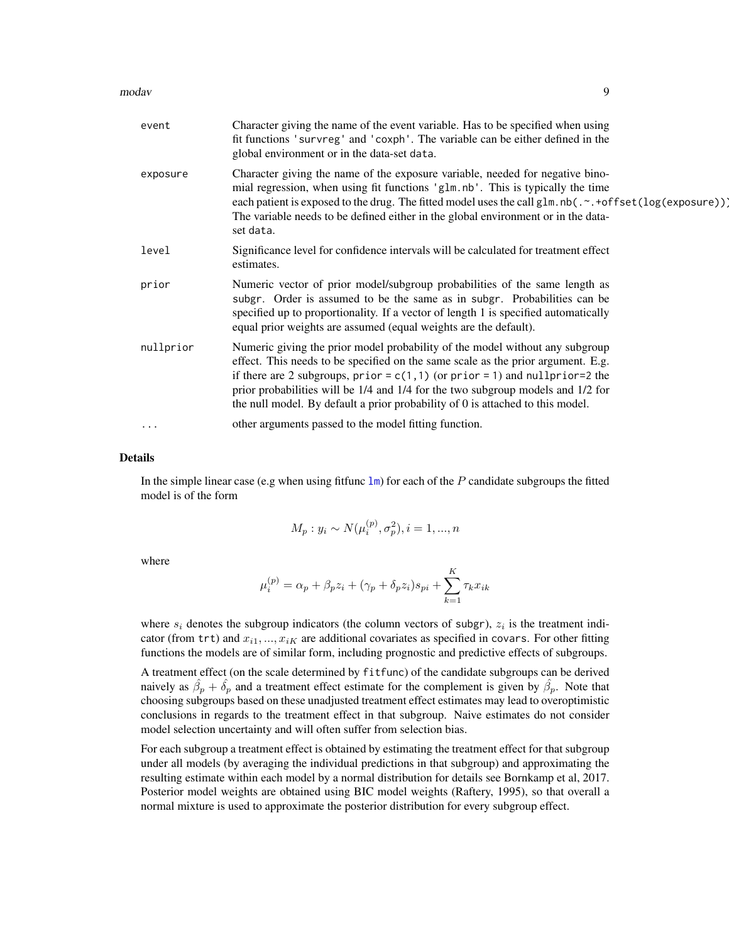#### <span id="page-8-0"></span>modav 9

| event     | Character giving the name of the event variable. Has to be specified when using<br>fit functions 'survreg' and 'coxph'. The variable can be either defined in the<br>global environment or in the data-set data.                                                                                                                                                                                                       |
|-----------|------------------------------------------------------------------------------------------------------------------------------------------------------------------------------------------------------------------------------------------------------------------------------------------------------------------------------------------------------------------------------------------------------------------------|
| exposure  | Character giving the name of the exposure variable, needed for negative bino-<br>mial regression, when using fit functions 'glm.nb'. This is typically the time<br>each patient is exposed to the drug. The fitted model uses the call glm.nb(.~.+offset(log(exposure))]<br>The variable needs to be defined either in the global environment or in the data-<br>set data.                                             |
| level     | Significance level for confidence intervals will be calculated for treatment effect<br>estimates.                                                                                                                                                                                                                                                                                                                      |
| prior     | Numeric vector of prior model/subgroup probabilities of the same length as<br>subgr. Order is assumed to be the same as in subgr. Probabilities can be<br>specified up to proportionality. If a vector of length 1 is specified automatically<br>equal prior weights are assumed (equal weights are the default).                                                                                                      |
| nullprior | Numeric giving the prior model probability of the model without any subgroup<br>effect. This needs to be specified on the same scale as the prior argument. E.g.<br>if there are 2 subgroups, prior = $c(1,1)$ (or prior = 1) and nullprior=2 the<br>prior probabilities will be 1/4 and 1/4 for the two subgroup models and 1/2 for<br>the null model. By default a prior probability of 0 is attached to this model. |
| $\cdots$  | other arguments passed to the model fitting function.                                                                                                                                                                                                                                                                                                                                                                  |

#### Details

In the simple linear case (e.g when using fittunc  $\text{Im}$ ) for each of the P candidate subgroups the fitted model is of the form

$$
M_p: y_i \sim N(\mu_i^{(p)}, \sigma_p^2), i = 1, ..., n
$$

where

$$
\mu_i^{(p)} = \alpha_p + \beta_p z_i + (\gamma_p + \delta_p z_i)s_{pi} + \sum_{k=1}^K \tau_k x_{ik}
$$

where  $s_i$  denotes the subgroup indicators (the column vectors of subgr),  $z_i$  is the treatment indicator (from trt) and  $x_{i1},..., x_{iK}$  are additional covariates as specified in covars. For other fitting functions the models are of similar form, including prognostic and predictive effects of subgroups.

A treatment effect (on the scale determined by fitfunc) of the candidate subgroups can be derived naively as  $\hat{\beta}_p + \hat{\delta}_p$  and a treatment effect estimate for the complement is given by  $\hat{\beta}_p$ . Note that choosing subgroups based on these unadjusted treatment effect estimates may lead to overoptimistic conclusions in regards to the treatment effect in that subgroup. Naive estimates do not consider model selection uncertainty and will often suffer from selection bias.

For each subgroup a treatment effect is obtained by estimating the treatment effect for that subgroup under all models (by averaging the individual predictions in that subgroup) and approximating the resulting estimate within each model by a normal distribution for details see Bornkamp et al, 2017. Posterior model weights are obtained using BIC model weights (Raftery, 1995), so that overall a normal mixture is used to approximate the posterior distribution for every subgroup effect.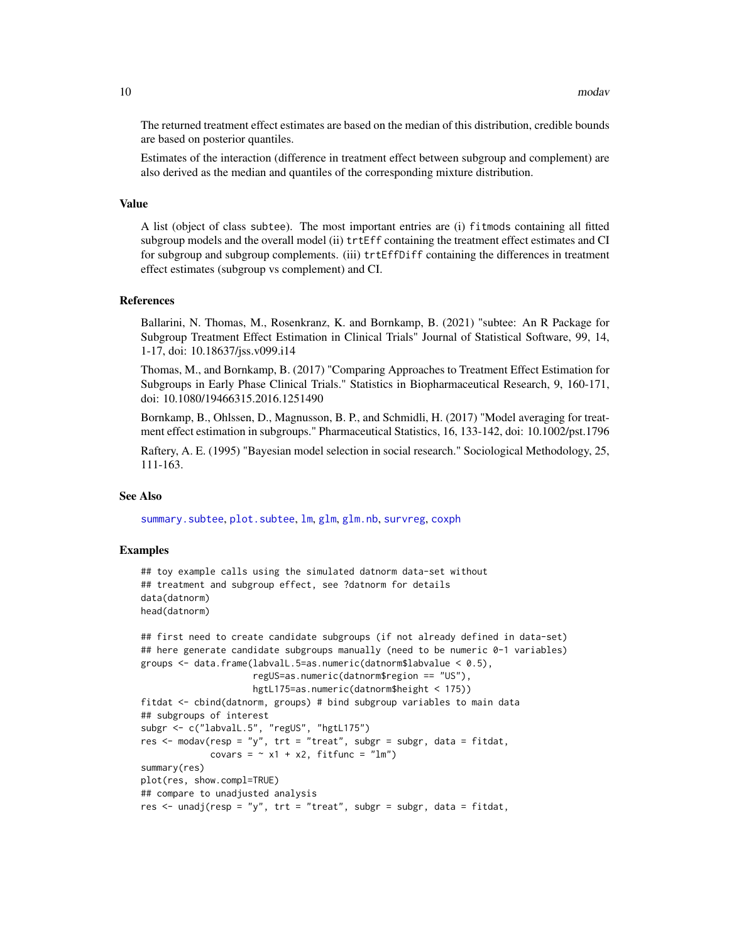<span id="page-9-0"></span>The returned treatment effect estimates are based on the median of this distribution, credible bounds are based on posterior quantiles.

Estimates of the interaction (difference in treatment effect between subgroup and complement) are also derived as the median and quantiles of the corresponding mixture distribution.

#### Value

A list (object of class subtee). The most important entries are (i) fitmods containing all fitted subgroup models and the overall model (ii) trtEff containing the treatment effect estimates and CI for subgroup and subgroup complements. (iii) trtEffDiff containing the differences in treatment effect estimates (subgroup vs complement) and CI.

#### References

Ballarini, N. Thomas, M., Rosenkranz, K. and Bornkamp, B. (2021) "subtee: An R Package for Subgroup Treatment Effect Estimation in Clinical Trials" Journal of Statistical Software, 99, 14, 1-17, doi: 10.18637/jss.v099.i14

Thomas, M., and Bornkamp, B. (2017) "Comparing Approaches to Treatment Effect Estimation for Subgroups in Early Phase Clinical Trials." Statistics in Biopharmaceutical Research, 9, 160-171, doi: 10.1080/19466315.2016.1251490

Bornkamp, B., Ohlssen, D., Magnusson, B. P., and Schmidli, H. (2017) "Model averaging for treatment effect estimation in subgroups." Pharmaceutical Statistics, 16, 133-142, doi: 10.1002/pst.1796

Raftery, A. E. (1995) "Bayesian model selection in social research." Sociological Methodology, 25, 111-163.

#### See Also

[summary.subtee](#page-15-1), [plot.subtee](#page-11-1), [lm](#page-0-0), [glm](#page-0-0), [glm.nb](#page-0-0), [survreg](#page-0-0), [coxph](#page-0-0)

#### Examples

```
## toy example calls using the simulated datnorm data-set without
## treatment and subgroup effect, see ?datnorm for details
data(datnorm)
head(datnorm)
```

```
## first need to create candidate subgroups (if not already defined in data-set)
## here generate candidate subgroups manually (need to be numeric 0-1 variables)
groups <- data.frame(labvalL.5=as.numeric(datnorm$labvalue < 0.5),
                     regUS=as.numeric(datnorm$region == "US"),
                     hgtL175=as.numeric(datnorm$height < 175))
fitdat <- cbind(datnorm, groups) # bind subgroup variables to main data
## subgroups of interest
subgr <- c("labvalL.5", "regUS", "hgtL175")
res <- modav(resp = "y", trt = "treat", subgr = subgr, data = fitdat,
             covars = \sim x1 + x2, fitfunc = "lm")
summary(res)
plot(res, show.compl=TRUE)
## compare to unadjusted analysis
```
res  $\le$  unadj(resp = "y", trt = "treat", subgr = subgr, data = fitdat,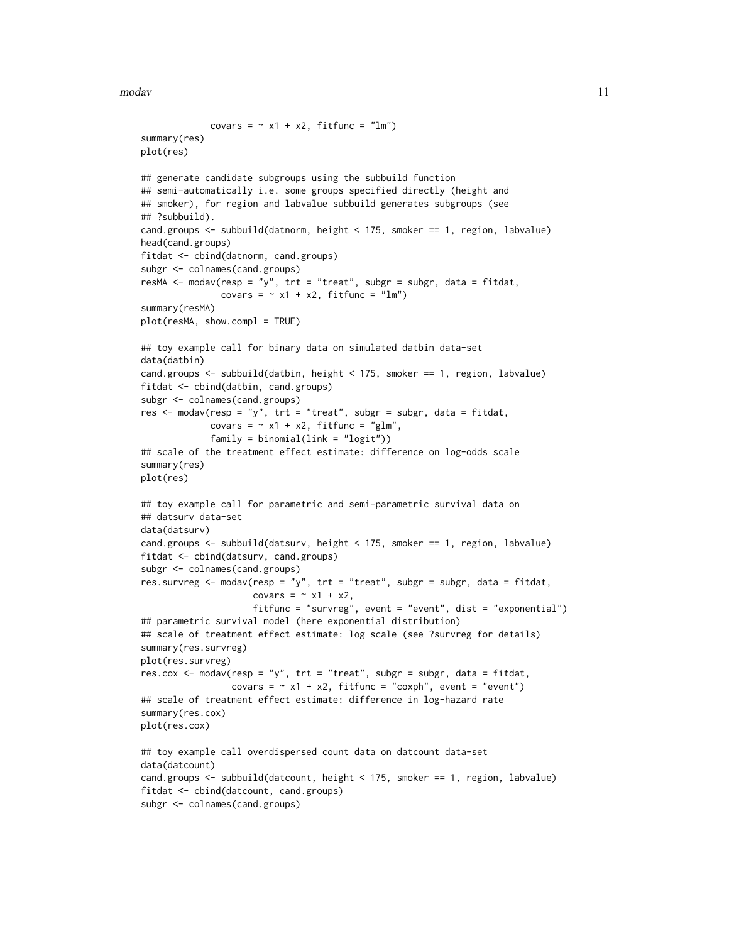modav and the set of the set of the set of the set of the set of the set of the set of the set of the set of the set of the set of the set of the set of the set of the set of the set of the set of the set of the set of the

```
covars = \sim x1 + x2, fitfunc = "lm")
summary(res)
plot(res)
## generate candidate subgroups using the subbuild function
## semi-automatically i.e. some groups specified directly (height and
## smoker), for region and labvalue subbuild generates subgroups (see
## ?subbuild).
cand.groups <- subbuild(datnorm, height < 175, smoker == 1, region, labvalue)
head(cand.groups)
fitdat <- cbind(datnorm, cand.groups)
subgr <- colnames(cand.groups)
resMA <- modav(resp = "y", trt = "treat", subgr = subgr, data = fitdat,
               covars = \sim x1 + x2, fitfunc = "lm")
summary(resMA)
plot(resMA, show.compl = TRUE)
## toy example call for binary data on simulated datbin data-set
data(datbin)
cand.groups <- subbuild(datbin, height < 175, smoker == 1, region, labvalue)
fitdat <- cbind(datbin, cand.groups)
subgr <- colnames(cand.groups)
res <- modav(resp = "y", trt = "treat", subgr = subgr, data = fitdat,
             covars = \sim x1 + x2, fitfunc = "glm",
             family = binomial(link = "logit"))
## scale of the treatment effect estimate: difference on log-odds scale
summary(res)
plot(res)
## toy example call for parametric and semi-parametric survival data on
## datsurv data-set
data(datsurv)
cand.groups <- subbuild(datsurv, height < 175, smoker == 1, region, labvalue)
fitdat <- cbind(datsurv, cand.groups)
subgr <- colnames(cand.groups)
res.survreg \leq modav(resp = "y", trt = "treat", subgr = subgr, data = fitdat,
                     covars = \sim x1 + x2,
                     fitfunc = "survreg", event = "event", dist = "exponential")
## parametric survival model (here exponential distribution)
## scale of treatment effect estimate: log scale (see ?survreg for details)
summary(res.survreg)
plot(res.survreg)
res.cox <- modav(resp = "y", trt = "treat", subgr = subgr, data = fitdat,
                 covars = \sim x1 + x2, fitfunc = "coxph", event = "event")
## scale of treatment effect estimate: difference in log-hazard rate
summary(res.cox)
plot(res.cox)
## toy example call overdispersed count data on datcount data-set
data(datcount)
cand.groups <- subbuild(datcount, height < 175, smoker == 1, region, labvalue)
fitdat <- cbind(datcount, cand.groups)
subgr <- colnames(cand.groups)
```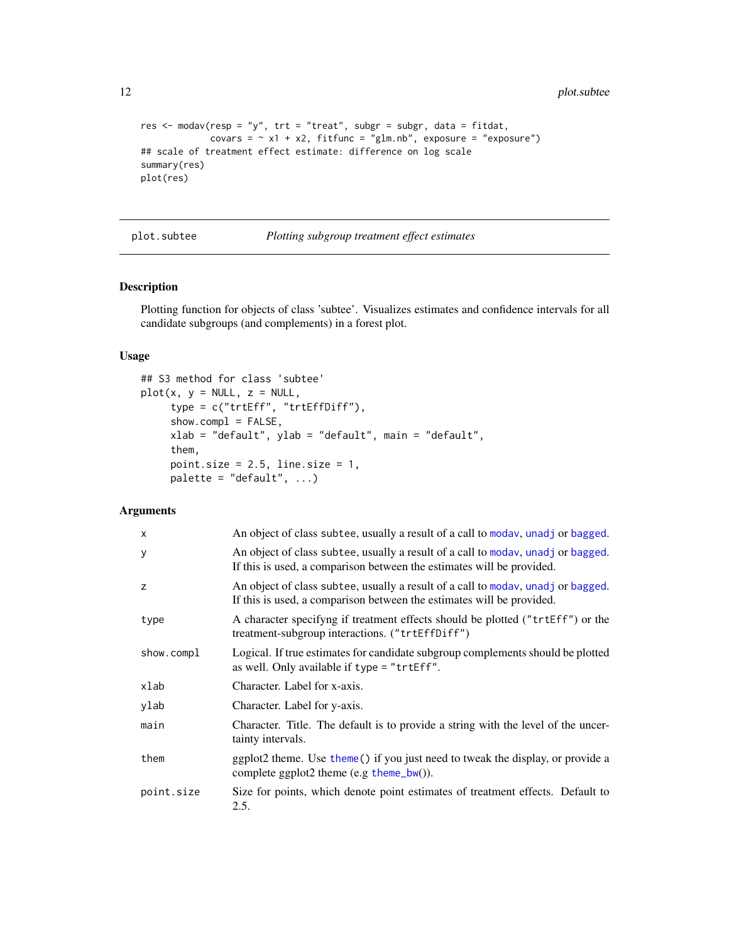```
res \leq modav(resp = "y", trt = "treat", subgr = subgr, data = fitdat,
            covars = \sim x1 + x2, fitfunc = "glm.nb", exposure = "exposure")
## scale of treatment effect estimate: difference on log scale
summary(res)
plot(res)
```

```
plot.subtee Plotting subgroup treatment effect estimates
```
# Description

Plotting function for objects of class 'subtee'. Visualizes estimates and confidence intervals for all candidate subgroups (and complements) in a forest plot.

# Usage

```
## S3 method for class 'subtee'
plot(x, y = NULL, z = NULL,type = c("trtEff", "trtEffDiff"),
     show.compile = FALSE,xlab = "default", ylab = "default", main = "default",
     them,
     point.size = 2.5, line.size = 1,
     palette = "default", ...)
```

| $\mathsf{x}$ | An object of class subtee, usually a result of a call to modav, unadj or bagged.                                                                          |
|--------------|-----------------------------------------------------------------------------------------------------------------------------------------------------------|
| У            | An object of class subtee, usually a result of a call to moday, unadj or bagged.<br>If this is used, a comparison between the estimates will be provided. |
| z            | An object of class subtee, usually a result of a call to moday, unadj or bagged.<br>If this is used, a comparison between the estimates will be provided. |
| type         | A character specifying if treatment effects should be plotted ("trtEff") or the<br>treatment-subgroup interactions. ("trtEffDiff")                        |
| show.compl   | Logical. If true estimates for candidate subgroup complements should be plotted<br>as well. Only available if type = "trtEff".                            |
| xlab         | Character. Label for x-axis.                                                                                                                              |
| ylab         | Character. Label for y-axis.                                                                                                                              |
| main         | Character. Title. The default is to provide a string with the level of the uncer-<br>tainty intervals.                                                    |
| them         | ggplot2 theme. Use theme() if you just need to tweak the display, or provide a<br>complete ggplot2 theme (e.g $theme_bw$ ).                               |
| point.size   | Size for points, which denote point estimates of treatment effects. Default to<br>2.5.                                                                    |

<span id="page-11-0"></span>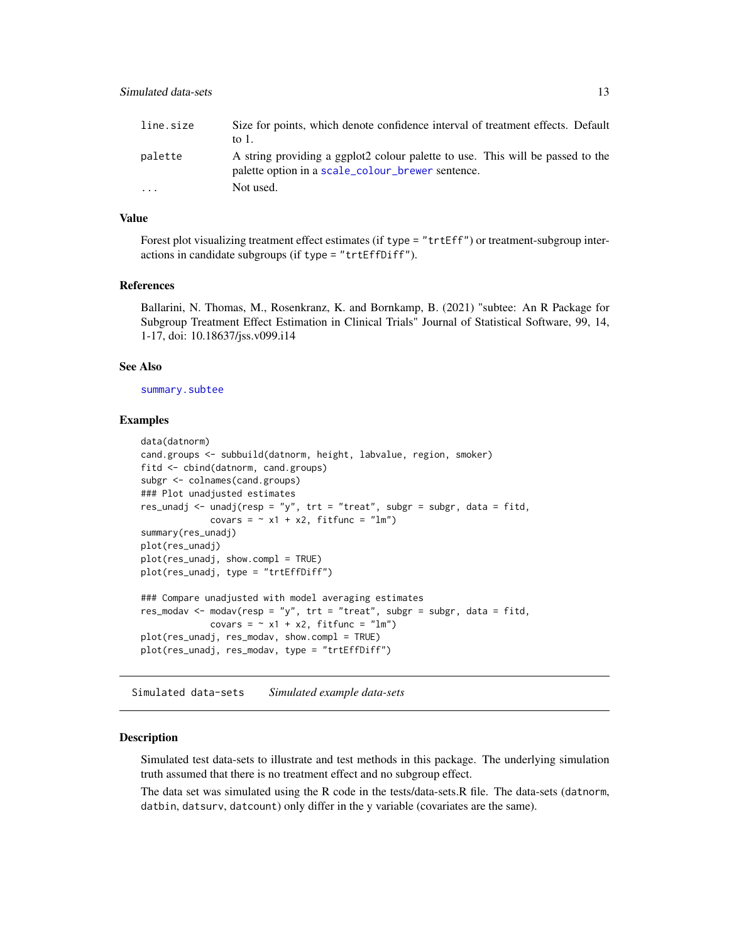<span id="page-12-0"></span>

| line.size | Size for points, which denote confidence interval of treatment effects. Default                                                     |
|-----------|-------------------------------------------------------------------------------------------------------------------------------------|
|           | to $1$ .                                                                                                                            |
| palette   | A string providing a ggplot2 colour palette to use. This will be passed to the<br>palette option in a scale_colour_brewer sentence. |
| $\ddotsc$ | Not used.                                                                                                                           |

#### Value

Forest plot visualizing treatment effect estimates (if type = "trtEff") or treatment-subgroup interactions in candidate subgroups (if type = "trtEffDiff").

#### References

Ballarini, N. Thomas, M., Rosenkranz, K. and Bornkamp, B. (2021) "subtee: An R Package for Subgroup Treatment Effect Estimation in Clinical Trials" Journal of Statistical Software, 99, 14, 1-17, doi: 10.18637/jss.v099.i14

#### See Also

[summary.subtee](#page-15-1)

#### Examples

```
data(datnorm)
cand.groups <- subbuild(datnorm, height, labvalue, region, smoker)
fitd <- cbind(datnorm, cand.groups)
subgr <- colnames(cand.groups)
### Plot unadjusted estimates
res_unadj <- unadj(resp = "y", tr = "treat", subgr = subgr, data = fitd,covars = \sim x1 + x2, fitfunc = "lm")
summary(res_unadj)
plot(res_unadj)
plot(res_unadj, show.compl = TRUE)
plot(res_unadj, type = "trtEffDiff")
### Compare unadjusted with model averaging estimates
res_modav <- modav(resp = "y", trt = "treat", subgr = subgr, data = fitd,covars = \sim x1 + x2, fitfunc = "lm")
plot(res_unadj, res_modav, show.compl = TRUE)
plot(res_unadj, res_modav, type = "trtEffDiff")
```
Simulated data-sets *Simulated example data-sets*

#### Description

Simulated test data-sets to illustrate and test methods in this package. The underlying simulation truth assumed that there is no treatment effect and no subgroup effect.

The data set was simulated using the R code in the tests/data-sets.R file. The data-sets (datnorm, datbin, datsurv, datcount) only differ in the y variable (covariates are the same).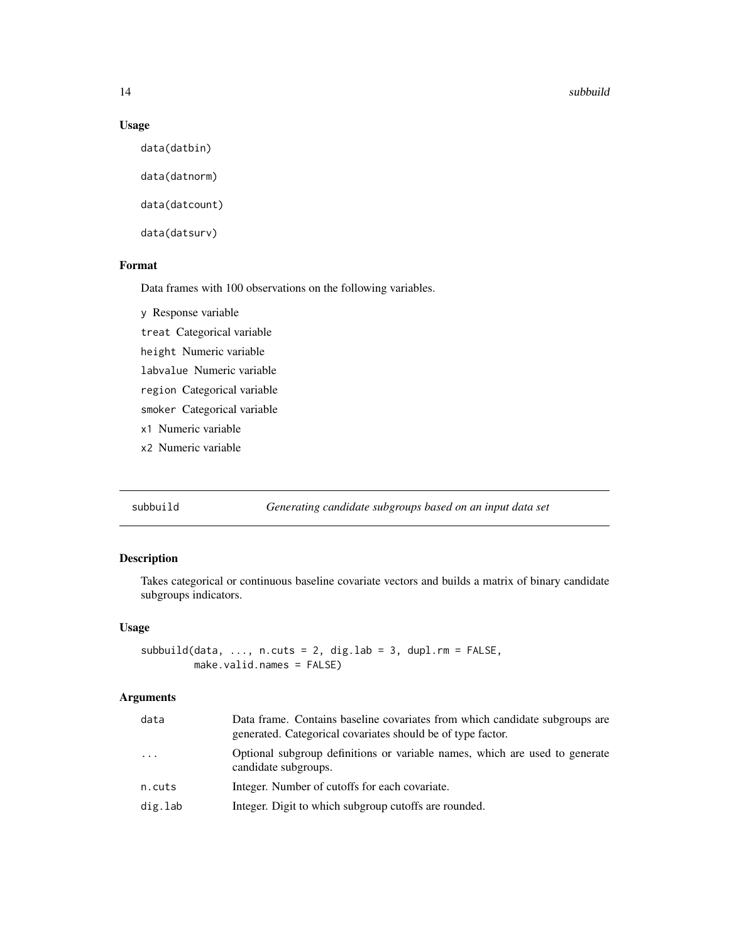#### 14 subbuild a sub-second contract to the sub-second contract of the sub-second contract of the sub-second contract of the sub-second contract of the sub-second contract of the sub-second contract of the sub-second contract

# Usage

data(datbin)

data(datnorm)

data(datcount)

data(datsurv)

# Format

Data frames with 100 observations on the following variables.

y Response variable

treat Categorical variable

height Numeric variable

labvalue Numeric variable

region Categorical variable

smoker Categorical variable

x1 Numeric variable

x2 Numeric variable

subbuild *Generating candidate subgroups based on an input data set*

# Description

Takes categorical or continuous baseline covariate vectors and builds a matrix of binary candidate subgroups indicators.

# Usage

```
subbuild(data, ..., ncuts = 2, dig.lab = 3, dup.l.rm = FALSE,make.valid.names = FALSE)
```

| data    | Data frame. Contains baseline covariates from which candidate subgroups are<br>generated. Categorical covariates should be of type factor. |
|---------|--------------------------------------------------------------------------------------------------------------------------------------------|
| .       | Optional subgroup definitions or variable names, which are used to generate<br>candidate subgroups.                                        |
| n.cuts  | Integer. Number of cutoffs for each covariate.                                                                                             |
| dig.lab | Integer. Digit to which subgroup cutoffs are rounded.                                                                                      |
|         |                                                                                                                                            |

<span id="page-13-0"></span>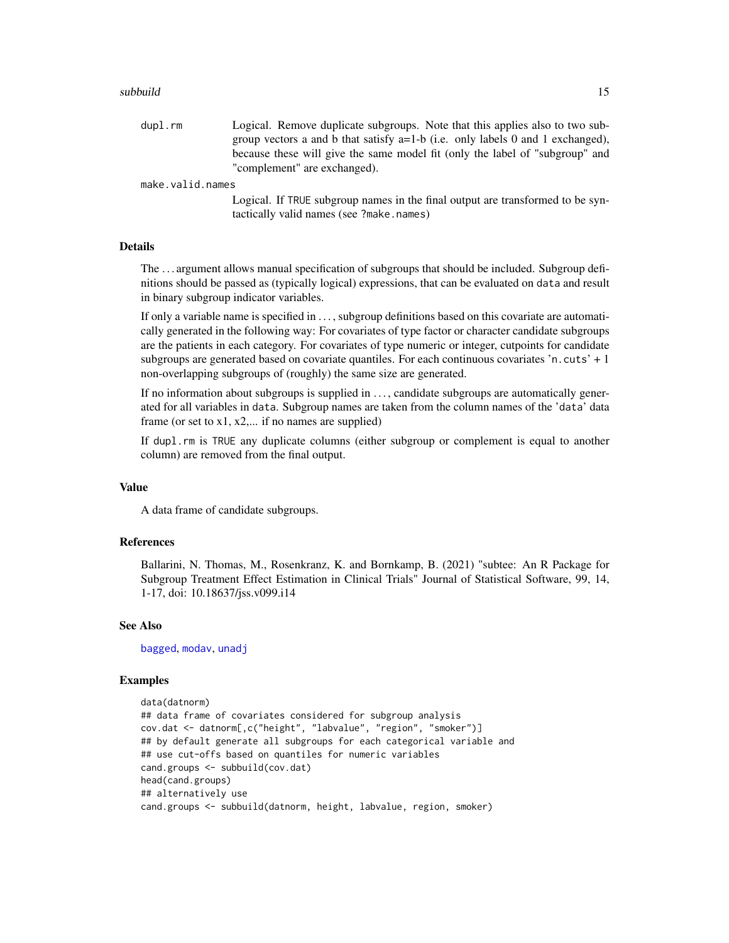#### <span id="page-14-0"></span>subbuild 15

dupl.rm Logical. Remove duplicate subgroups. Note that this applies also to two subgroup vectors a and b that satisfy a=1-b (i.e. only labels 0 and 1 exchanged), because these will give the same model fit (only the label of "subgroup" and "complement" are exchanged).

# make.valid.names

Logical. If TRUE subgroup names in the final output are transformed to be syntactically valid names (see ?make.names)

#### **Details**

The . . . argument allows manual specification of subgroups that should be included. Subgroup definitions should be passed as (typically logical) expressions, that can be evaluated on data and result in binary subgroup indicator variables.

If only a variable name is specified in . . . , subgroup definitions based on this covariate are automatically generated in the following way: For covariates of type factor or character candidate subgroups are the patients in each category. For covariates of type numeric or integer, cutpoints for candidate subgroups are generated based on covariate quantiles. For each continuous covariates 'n.cuts' + 1 non-overlapping subgroups of (roughly) the same size are generated.

If no information about subgroups is supplied in ..., candidate subgroups are automatically generated for all variables in data. Subgroup names are taken from the column names of the 'data' data frame (or set to  $x1, x2, \dots$  if no names are supplied)

If dupl.rm is TRUE any duplicate columns (either subgroup or complement is equal to another column) are removed from the final output.

#### Value

A data frame of candidate subgroups.

#### References

Ballarini, N. Thomas, M., Rosenkranz, K. and Bornkamp, B. (2021) "subtee: An R Package for Subgroup Treatment Effect Estimation in Clinical Trials" Journal of Statistical Software, 99, 14, 1-17, doi: 10.18637/jss.v099.i14

#### See Also

[bagged](#page-1-1), [modav](#page-7-1), [unadj](#page-16-1)

#### Examples

```
data(datnorm)
## data frame of covariates considered for subgroup analysis
cov.dat <- datnorm[,c("height", "labvalue", "region", "smoker")]
## by default generate all subgroups for each categorical variable and
## use cut-offs based on quantiles for numeric variables
cand.groups <- subbuild(cov.dat)
head(cand.groups)
## alternatively use
cand.groups <- subbuild(datnorm, height, labvalue, region, smoker)
```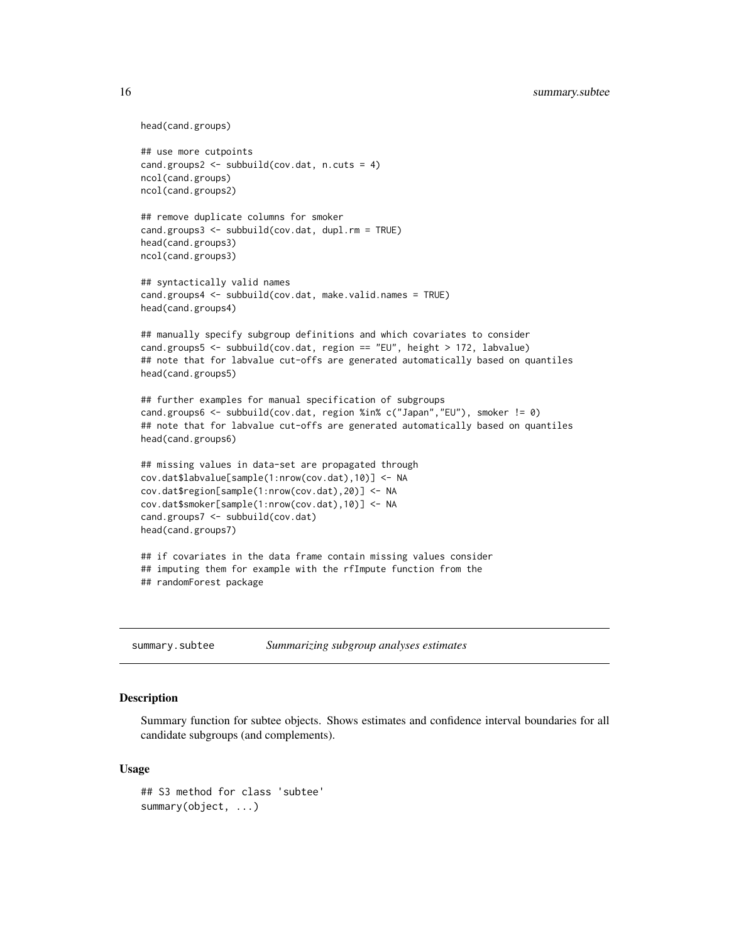```
head(cand.groups)
```

```
## use more cutpoints
cand.groups2 <- subbuild(cov.dat, n.cuts = 4)
ncol(cand.groups)
ncol(cand.groups2)
```

```
## remove duplicate columns for smoker
cand.groups3 <- subbuild(cov.dat, dupl.rm = TRUE)
head(cand.groups3)
ncol(cand.groups3)
```

```
## syntactically valid names
cand.groups4 <- subbuild(cov.dat, make.valid.names = TRUE)
head(cand.groups4)
```

```
## manually specify subgroup definitions and which covariates to consider
cand.groups5 <- subbuild(cov.dat, region == "EU", height > 172, labvalue)
## note that for labvalue cut-offs are generated automatically based on quantiles
head(cand.groups5)
```

```
## further examples for manual specification of subgroups
cand.groups6 <- subbuild(cov.dat, region %in% c("Japan","EU"), smoker != 0)
## note that for labvalue cut-offs are generated automatically based on quantiles
head(cand.groups6)
```

```
## missing values in data-set are propagated through
cov.dat$labvalue[sample(1:nrow(cov.dat),10)] <- NA
cov.dat$region[sample(1:nrow(cov.dat),20)] <- NA
cov.dat$smoker[sample(1:nrow(cov.dat),10)] <- NA
cand.groups7 <- subbuild(cov.dat)
head(cand.groups7)
```

```
## if covariates in the data frame contain missing values consider
## imputing them for example with the rfImpute function from the
## randomForest package
```
<span id="page-15-1"></span>

| summary.subtee | Summarizing subgroup analyses estimates |  |  |
|----------------|-----------------------------------------|--|--|
|                |                                         |  |  |

#### **Description**

Summary function for subtee objects. Shows estimates and confidence interval boundaries for all candidate subgroups (and complements).

#### Usage

```
## S3 method for class 'subtee'
summary(object, ...)
```
<span id="page-15-0"></span>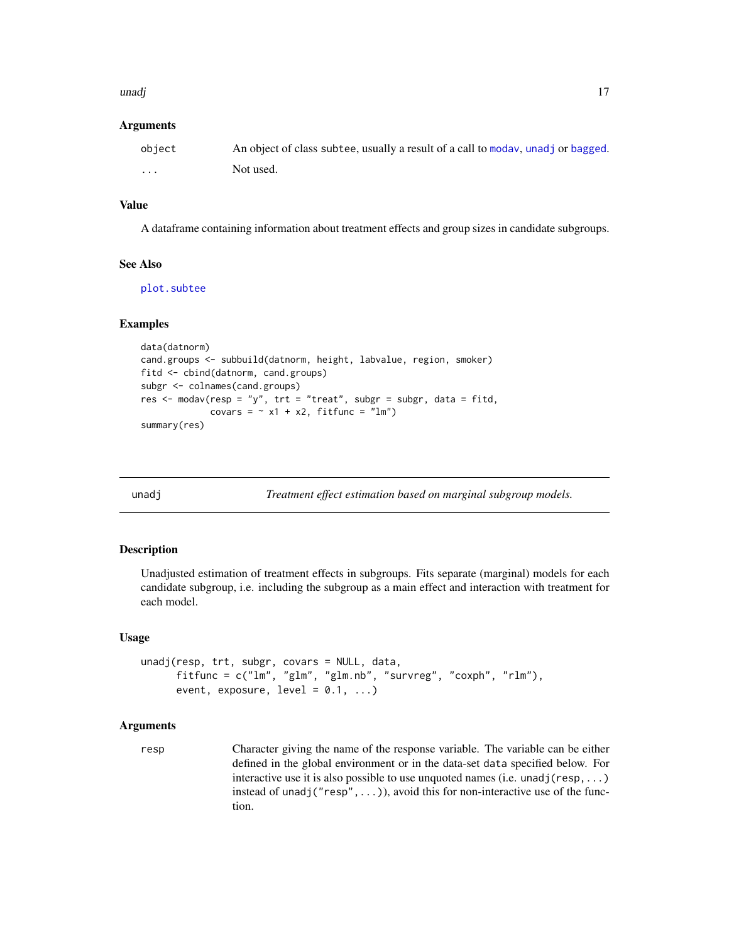#### <span id="page-16-0"></span>unadj 17

#### Arguments

| object | An object of class subtee, usually a result of a call to moday, unadj or bagged. |
|--------|----------------------------------------------------------------------------------|
| .      | Not used.                                                                        |

# Value

A dataframe containing information about treatment effects and group sizes in candidate subgroups.

#### See Also

[plot.subtee](#page-11-1)

#### Examples

```
data(datnorm)
cand.groups <- subbuild(datnorm, height, labvalue, region, smoker)
fitd <- cbind(datnorm, cand.groups)
subgr <- colnames(cand.groups)
res \leq modav(resp = "y", trt = "treat", subgr = subgr, data = fitd,
             covars = \sim x1 + x2, fitfunc = "lm")
summary(res)
```
<span id="page-16-1"></span>

unadj *Treatment effect estimation based on marginal subgroup models.*

#### Description

Unadjusted estimation of treatment effects in subgroups. Fits separate (marginal) models for each candidate subgroup, i.e. including the subgroup as a main effect and interaction with treatment for each model.

#### Usage

```
unadj(resp, trt, subgr, covars = NULL, data,
     fitfunc = c("lm", "glm", "glm.nb", "survreg", "coxph", "rlm"),
     event, exposure, level = 0.1, ...)
```
#### Arguments

resp Character giving the name of the response variable. The variable can be either defined in the global environment or in the data-set data specified below. For interactive use it is also possible to use unquoted names (i.e. unadj( $resp, \ldots$ ) instead of unadj(" $resp$ ", ...)), avoid this for non-interactive use of the function.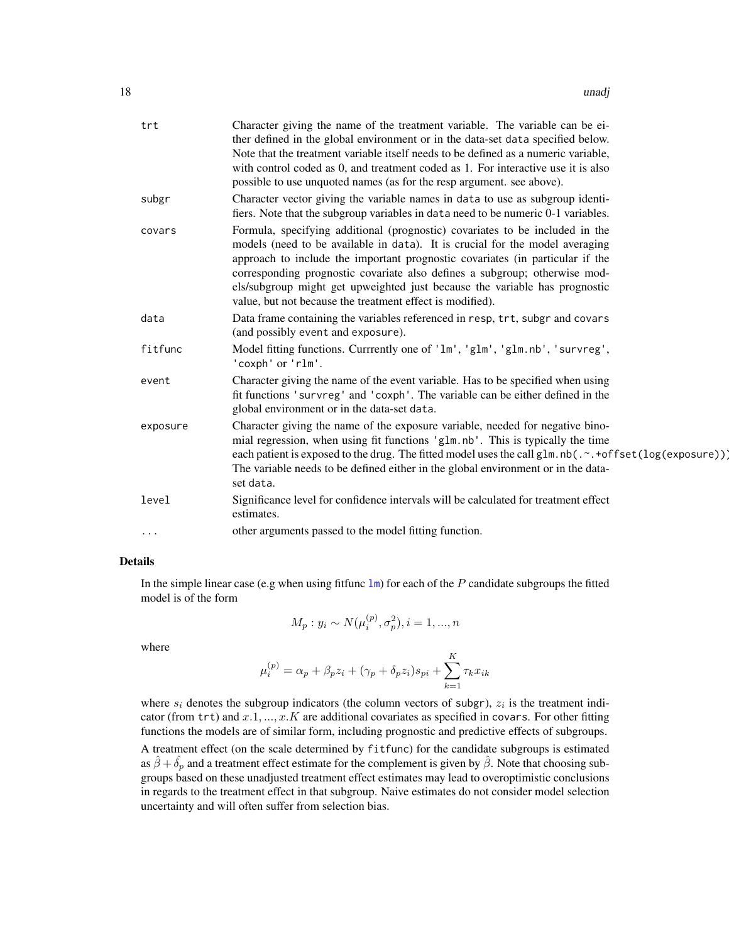<span id="page-17-0"></span>

| trt      | Character giving the name of the treatment variable. The variable can be ei-<br>ther defined in the global environment or in the data-set data specified below.<br>Note that the treatment variable itself needs to be defined as a numeric variable,<br>with control coded as 0, and treatment coded as 1. For interactive use it is also<br>possible to use unquoted names (as for the resp argument. see above).                                                    |
|----------|------------------------------------------------------------------------------------------------------------------------------------------------------------------------------------------------------------------------------------------------------------------------------------------------------------------------------------------------------------------------------------------------------------------------------------------------------------------------|
| subgr    | Character vector giving the variable names in data to use as subgroup identi-<br>fiers. Note that the subgroup variables in data need to be numeric 0-1 variables.                                                                                                                                                                                                                                                                                                     |
| covars   | Formula, specifying additional (prognostic) covariates to be included in the<br>models (need to be available in data). It is crucial for the model averaging<br>approach to include the important prognostic covariates (in particular if the<br>corresponding prognostic covariate also defines a subgroup; otherwise mod-<br>els/subgroup might get upweighted just because the variable has prognostic<br>value, but not because the treatment effect is modified). |
| data     | Data frame containing the variables referenced in resp, trt, subgr and covars<br>(and possibly event and exposure).                                                                                                                                                                                                                                                                                                                                                    |
| fitfunc  | Model fitting functions. Currrently one of 'lm', 'glm', 'glm.nb', 'survreg',<br>'coxph' or 'rlm'.                                                                                                                                                                                                                                                                                                                                                                      |
| event    | Character giving the name of the event variable. Has to be specified when using<br>fit functions 'survreg' and 'coxph'. The variable can be either defined in the<br>global environment or in the data-set data.                                                                                                                                                                                                                                                       |
| exposure | Character giving the name of the exposure variable, needed for negative bino-<br>mial regression, when using fit functions 'glm.nb'. This is typically the time<br>each patient is exposed to the drug. The fitted model uses the call glm.nb(.~.+offset(log(exposure))]<br>The variable needs to be defined either in the global environment or in the data-<br>set data.                                                                                             |
| level    | Significance level for confidence intervals will be calculated for treatment effect<br>estimates.                                                                                                                                                                                                                                                                                                                                                                      |
| $\cdots$ | other arguments passed to the model fitting function.                                                                                                                                                                                                                                                                                                                                                                                                                  |

# Details

In the simple linear case (e.g when using fittunc  $\text{Im}$ ) for each of the P candidate subgroups the fitted model is of the form

$$
M_p: y_i \sim N(\mu_i^{(p)}, \sigma_p^2), i = 1, ..., n
$$

where

$$
\mu_i^{(p)} = \alpha_p + \beta_p z_i + (\gamma_p + \delta_p z_i)s_{pi} + \sum_{k=1}^K \tau_k x_{ik}
$$

where  $s_i$  denotes the subgroup indicators (the column vectors of subgr),  $z_i$  is the treatment indicator (from trt) and  $x.1, ..., x.K$  are additional covariates as specified in covars. For other fitting functions the models are of similar form, including prognostic and predictive effects of subgroups.

A treatment effect (on the scale determined by fitfunc) for the candidate subgroups is estimated as  $\hat{\beta} + \hat{\delta}_p$  and a treatment effect estimate for the complement is given by  $\hat{\beta}$ . Note that choosing subgroups based on these unadjusted treatment effect estimates may lead to overoptimistic conclusions in regards to the treatment effect in that subgroup. Naive estimates do not consider model selection uncertainty and will often suffer from selection bias.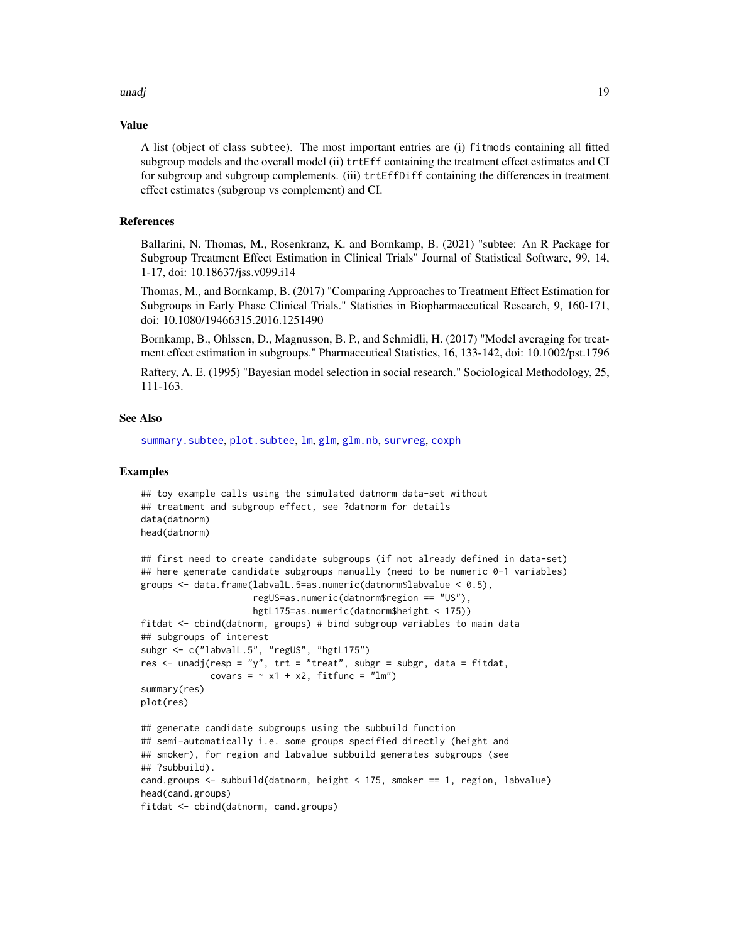#### <span id="page-18-0"></span>unadj 19

#### Value

A list (object of class subtee). The most important entries are (i) fitmods containing all fitted subgroup models and the overall model (ii) trtEff containing the treatment effect estimates and CI for subgroup and subgroup complements. (iii) trtEffDiff containing the differences in treatment effect estimates (subgroup vs complement) and CI.

# References

Ballarini, N. Thomas, M., Rosenkranz, K. and Bornkamp, B. (2021) "subtee: An R Package for Subgroup Treatment Effect Estimation in Clinical Trials" Journal of Statistical Software, 99, 14, 1-17, doi: 10.18637/jss.v099.i14

Thomas, M., and Bornkamp, B. (2017) "Comparing Approaches to Treatment Effect Estimation for Subgroups in Early Phase Clinical Trials." Statistics in Biopharmaceutical Research, 9, 160-171, doi: 10.1080/19466315.2016.1251490

Bornkamp, B., Ohlssen, D., Magnusson, B. P., and Schmidli, H. (2017) "Model averaging for treatment effect estimation in subgroups." Pharmaceutical Statistics, 16, 133-142, doi: 10.1002/pst.1796

Raftery, A. E. (1995) "Bayesian model selection in social research." Sociological Methodology, 25, 111-163.

### See Also

[summary.subtee](#page-15-1), [plot.subtee](#page-11-1), [lm](#page-0-0), [glm](#page-0-0), [glm.nb](#page-0-0), [survreg](#page-0-0), [coxph](#page-0-0)

### Examples

```
## toy example calls using the simulated datnorm data-set without
## treatment and subgroup effect, see ?datnorm for details
data(datnorm)
head(datnorm)
```

```
## first need to create candidate subgroups (if not already defined in data-set)
## here generate candidate subgroups manually (need to be numeric 0-1 variables)
groups <- data.frame(labvalL.5=as.numeric(datnorm$labvalue < 0.5),
                     regUS=as.numeric(datnorm$region == "US"),
                     hgtL175=as.numeric(datnorm$height < 175))
fitdat <- cbind(datnorm, groups) # bind subgroup variables to main data
## subgroups of interest
subgr <- c("labvalL.5", "regUS", "hgtL175")
res \leq unadj(resp = "y", trt = "treat", subgr = subgr, data = fitdat,
             covars = \sim x1 + x2, fitfunc = "lm")
summary(res)
plot(res)
## generate candidate subgroups using the subbuild function
## semi-automatically i.e. some groups specified directly (height and
## smoker), for region and labvalue subbuild generates subgroups (see
## ?subbuild).
cand.groups <- subbuild(datnorm, height < 175, smoker == 1, region, labvalue)
head(cand.groups)
fitdat <- cbind(datnorm, cand.groups)
```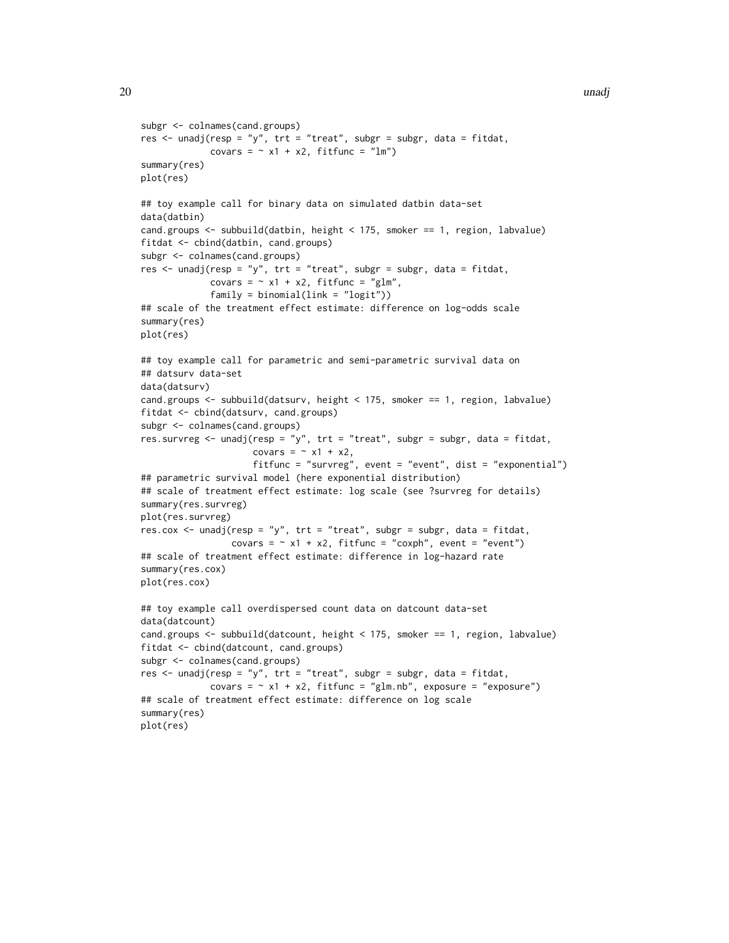```
subgr <- colnames(cand.groups)
res \le unadj(resp = "y", trt = "treat", subgr = subgr, data = fitdat,
             covars = \sim x1 + x2, fitfunc = "lm")
summary(res)
plot(res)
## toy example call for binary data on simulated datbin data-set
data(datbin)
cand.groups <- subbuild(datbin, height < 175, smoker == 1, region, labvalue)
fitdat <- cbind(datbin, cand.groups)
subgr <- colnames(cand.groups)
res <- unadj(resp = "y", trt = "treat", subgr = subgr, data = fitdat,
             covars = \sim x1 + x2, fitfunc = "glm",
             family = binomial(link = "logit")## scale of the treatment effect estimate: difference on log-odds scale
summary(res)
plot(res)
## toy example call for parametric and semi-parametric survival data on
## datsurv data-set
data(datsurv)
cand.groups <- subbuild(datsurv, height < 175, smoker == 1, region, labvalue)
fitdat <- cbind(datsurv, cand.groups)
subgr <- colnames(cand.groups)
res.survreg <- unadj(resp = "y", trt = "treat", subgr = subgr, data = fitdat,
                     covars = \sim x1 + x2,
                     fitfunc = "survreg", event = "event", dist = "exponential")
## parametric survival model (here exponential distribution)
## scale of treatment effect estimate: log scale (see ?survreg for details)
summary(res.survreg)
plot(res.survreg)
res.cox <- unadj(resp = "y", trt = "treat", subgr = subgr, data = fitdat,
                 covars = \sim x1 + x2, fitfunc = "coxph", event = "event")
## scale of treatment effect estimate: difference in log-hazard rate
summary(res.cox)
plot(res.cox)
## toy example call overdispersed count data on datcount data-set
data(datcount)
cand.groups <- subbuild(datcount, height < 175, smoker == 1, region, labvalue)
fitdat <- cbind(datcount, cand.groups)
subgr <- colnames(cand.groups)
res <- unadj(resp = "y", trt = "treat", subgr = subgr, data = fitdat,
             covars = \sim x1 + x2, fitfunc = "glm.nb", exposure = "exposure")
## scale of treatment effect estimate: difference on log scale
summary(res)
plot(res)
```